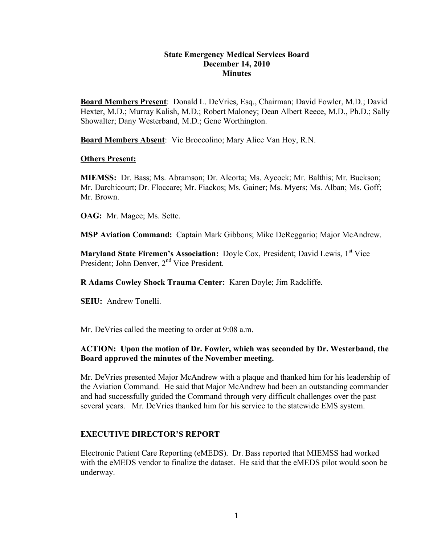### **State Emergency Medical Services Board December 14, 2010 Minutes**

**Board Members Present**: Donald L. DeVries, Esq., Chairman; David Fowler, M.D.; David Hexter, M.D.; Murray Kalish, M.D.; Robert Maloney; Dean Albert Reece, M.D., Ph.D.; Sally Showalter; Dany Westerband, M.D.; Gene Worthington.

**Board Members Absent**: Vic Broccolino; Mary Alice Van Hoy, R.N.

### **Others Present:**

**MIEMSS:** Dr. Bass; Ms. Abramson; Dr. Alcorta; Ms. Aycock; Mr. Balthis; Mr. Buckson; Mr. Darchicourt; Dr. Floccare; Mr. Fiackos; Ms. Gainer; Ms. Myers; Ms. Alban; Ms. Goff; Mr. Brown.

**OAG:** Mr. Magee; Ms. Sette.

**MSP Aviation Command:** Captain Mark Gibbons; Mike DeReggario; Major McAndrew.

**Maryland State Firemen's Association:** Doyle Cox, President; David Lewis, 1<sup>st</sup> Vice President; John Denver, 2<sup>nd</sup> Vice President.

**R Adams Cowley Shock Trauma Center:** Karen Doyle; Jim Radcliffe.

**SEIU:** Andrew Tonelli.

Mr. DeVries called the meeting to order at 9:08 a.m.

# **ACTION: Upon the motion of Dr. Fowler, which was seconded by Dr. Westerband, the Board approved the minutes of the November meeting.**

Mr. DeVries presented Major McAndrew with a plaque and thanked him for his leadership of the Aviation Command. He said that Major McAndrew had been an outstanding commander and had successfully guided the Command through very difficult challenges over the past several years. Mr. DeVries thanked him for his service to the statewide EMS system.

# **EXECUTIVE DIRECTOR'S REPORT**

Electronic Patient Care Reporting (eMEDS). Dr. Bass reported that MIEMSS had worked with the eMEDS vendor to finalize the dataset. He said that the eMEDS pilot would soon be underway.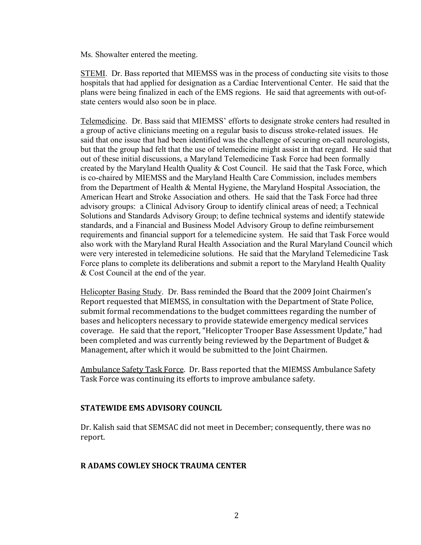Ms. Showalter entered the meeting.

STEMI. Dr. Bass reported that MIEMSS was in the process of conducting site visits to those hospitals that had applied for designation as a Cardiac Interventional Center. He said that the plans were being finalized in each of the EMS regions. He said that agreements with out-ofstate centers would also soon be in place.

Telemedicine. Dr. Bass said that MIEMSS' efforts to designate stroke centers had resulted in a group of active clinicians meeting on a regular basis to discuss stroke-related issues. He said that one issue that had been identified was the challenge of securing on-call neurologists, but that the group had felt that the use of telemedicine might assist in that regard. He said that out of these initial discussions, a Maryland Telemedicine Task Force had been formally created by the Maryland Health Quality & Cost Council. He said that the Task Force, which is co-chaired by MIEMSS and the Maryland Health Care Commission, includes members from the Department of Health & Mental Hygiene, the Maryland Hospital Association, the American Heart and Stroke Association and others. He said that the Task Force had three advisory groups: a Clinical Advisory Group to identify clinical areas of need; a Technical Solutions and Standards Advisory Group; to define technical systems and identify statewide standards, and a Financial and Business Model Advisory Group to define reimbursement requirements and financial support for a telemedicine system. He said that Task Force would also work with the Maryland Rural Health Association and the Rural Maryland Council which were very interested in telemedicine solutions. He said that the Maryland Telemedicine Task Force plans to complete its deliberations and submit a report to the Maryland Health Quality & Cost Council at the end of the year.

Helicopter Basing Study. Dr. Bass reminded the Board that the
2009
Joint
Chairmen's Report
requested
that
MIEMSS,
in
consultation with
the
Department
of
State
Police, submit formal recommendations to the budget committees regarding the number of bases and
helicopters
necessary
to
provide
statewide
emergency
medical
services coverage.

He said
that
the
report,
"Helicopter
Trooper Base
Assessment
Update,"
had been completed and was currently being reviewed by the Department of Budget & Management, after which it would be submitted to the Joint Chairmen.

Ambulance
Safety
Task
Force. Dr.
Bass
reported
that
the
MIEMSS
Ambulance
Safety Task
Force
was
continuing
its
efforts
to
improve
ambulance
safety.

# **STATEWIDE
EMS
ADVISORY
COUNCIL**

Dr.
Kalish
said
that
SEMSAC
did
not meet
in
December;
consequently,
there
was
no report.

#### **R
ADAMS
COWLEY
SHOCK
TRAUMA
CENTER**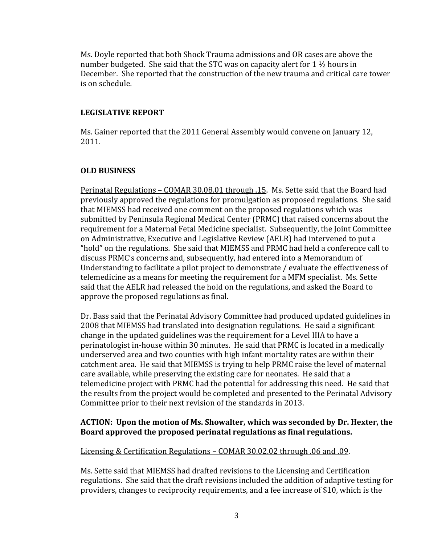Ms.
Doyle
reported
that
both Shock Trauma
admissions
and
OR
cases
are above
the number budgeted. She said that the STC was on capacity alert for 1  $\frac{1}{2}$  hours in December. She reported that the construction of the new trauma and critical care tower is
on
schedule.

### **LEGISLATIVE
REPORT**

Ms. Gainer reported that the 2011 General Assembly would convene on January 12, 2011.

# **OLD
BUSINESS**

Perinatal
Regulations –
COMAR
30.08.01
through
.15.

Ms.
Sette
said
that
the
Board
had previously
approved
the
regulations
for
promulgation
as
proposed
regulations.

She
said that
MIEMSS
had received
one
comment
on
the
proposed
regulations
which
was submitted
by
Peninsula
Regional
Medical
Center
(PRMC)
that
raised
concerns
about
the requirement
for
a
Maternal
Fetal
Medicine
specialist.

Subsequently,
the
Joint
Committee on Administrative, Executive and Legislative Review (AELR) had intervened to put a "hold" on the regulations. She said that MIEMSS and PRMC had held a conference call to discuss
PRMC's
concerns
and,
subsequently,
had
entered
into
a
Memorandum
of Understanding to facilitate a pilot project to demonstrate / evaluate the effectiveness of telemedicine
as
a
means
for
meeting
the
requirement
for
a
MFM
specialist.

Ms.
Sette said
that
the
AELR
had
released
the
hold
on the regulations,
and
asked
the
Board
to approve
the
proposed
regulations
as
final.

Dr.
Bass
said
that
the
Perinatal
Advisory
Committee
had
produced updated
guidelines
in 2008
that
MIEMSS had
translated
into
designation
regulations.

He
said
a significant change
in
the
updated
guidelines
was
the
requirement
for
a
Level
IIIA
to
have a perinatologist
in‐house
within 30 minutes.

He
said
that
PRMC
is
located
in
a
medically underserved area and two counties with high infant mortality rates are within their catchment
area.

He
said
that
MIEMSS
is
trying
to
help
PRMC
raise
the
level
of
maternal care
available,
while
preserving
the
existing
care
for
neonates.

He
said
that
a telemedicine project with PRMC had the potential for addressing this need. He said that the
results
from
the
project
would
be
completed
and
presented
to
the
Perinatal
Advisory Committee prior to their next revision of the standards in 2013.

# ACTION: Upon the motion of Ms. Showalter, which was seconded by Dr. Hexter, the Board approved the proposed perinatal regulations as final regulations.

Licensing
&
Certification
Regulations –
COMAR 30.02.02
through
.06
and
.09.

Ms.
Sette
said
that
MIEMSS
had
drafted
revisions
to
the
Licensing
and
Certification regulations. She said that the draft revisions included the addition of adaptive testing for providers, changes to reciprocity requirements, and a fee increase of \$10, which is the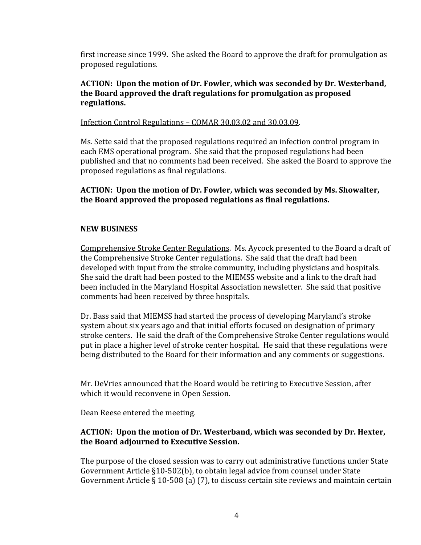first increase since 1999. She asked the Board to approve the draft for promulgation as proposed
regulations.

# **ACTION:

Upon
the
motion
of
Dr.
Fowler,
which
was
seconded
by
Dr.
Westerband, the
Board
approved
the
draft
regulations
for
promulgation
as
proposed regulations.**

Infection
Control
Regulations –
COMAR
30.03.02
and
30.03.09.

Ms.
Sette
said
that
the
proposed
regulations
required
an
infection
control
program
in each
EMS
operational
program.

She
said
that
the
proposed
regulations
had
been published
and
that
no
comments
had
been
received.

She
asked
the
Board
to
approve
the proposed
regulations
as
final
regulations.

**ACTION:

Upon
the
motion
of
Dr.
Fowler,
which
was
seconded
by
Ms. Showalter, the
Board
approved
the
proposed
regulations
as
final
regulations.**

# **NEW
BUSINESS**

Comprehensive
Stroke
Center
Regulations.

Ms.
Aycock
presented
to
the
Board
a
draft
of the Comprehensive Stroke Center regulations. She said that the draft had been developed
with
input
from
the
stroke
community,
including physicians
and
hospitals. She
said
the
draft
had
been
posted
to
the
MIEMSS
website
and
a
link
to
the
draft
had been
included
in
the
Maryland
Hospital
Association
newsletter.

She
said
that
positive comments
had
been
received
by
three
hospitals.

Dr.
Bass
said
that
MIEMSS
had
started
the
process
of
developing
Maryland's
stroke system about six years ago and that initial efforts focused on designation of primary stroke
centers.

He
said
the
draft
of
the
Comprehensive
Stroke
Center
regulations
would put in place a higher level of stroke center hospital. He said that these regulations were being distributed to the Board for their information and any comments or suggestions.

Mr. DeVries announced that the Board would be retiring to Executive Session, after which
it would reconvene
in
Open
Session.

Dean
Reese entered
the
meeting.

# **ACTION:

Upon
the
motion
of
Dr.
Westerband,
which
was
seconded
by
Dr.
Hexter, the
Board
adjourned
to
Executive Session.**

The purpose of the closed session was to carry out administrative functions under State Government
Article
§10‐502(b),
to obtain
legal
advice
from
counsel
under
State Government Article § 10-508 (a) (7), to discuss certain site reviews and maintain certain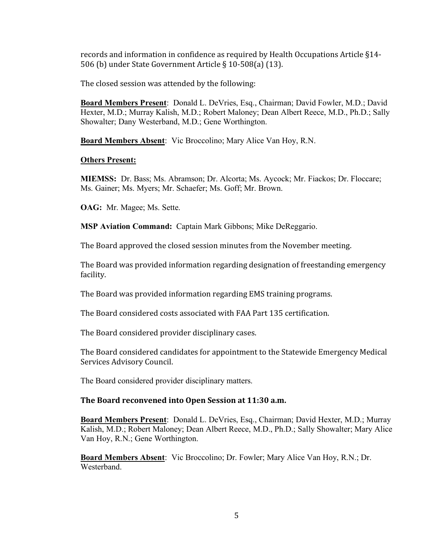records and information in confidence as required by Health Occupations Article §14-506
(b)
under
State
Government
Article
§
10‐508(a)
(13).

The
closed
session was attended
by
the
following:

**Board Members Present**: Donald L. DeVries, Esq., Chairman; David Fowler, M.D.; David Hexter, M.D.; Murray Kalish, M.D.; Robert Maloney; Dean Albert Reece, M.D., Ph.D.; Sally Showalter; Dany Westerband, M.D.; Gene Worthington.

**Board Members Absent**: Vic Broccolino; Mary Alice Van Hoy, R.N.

### **Others Present:**

**MIEMSS:** Dr. Bass; Ms. Abramson; Dr. Alcorta; Ms. Aycock; Mr. Fiackos; Dr. Floccare; Ms. Gainer; Ms. Myers; Mr. Schaefer; Ms. Goff; Mr. Brown.

**OAG:** Mr. Magee; Ms. Sette.

**MSP Aviation Command:** Captain Mark Gibbons; Mike DeReggario.

The
Board
approved
the
closed
session
minutes
from
the
November
meeting.

The Board was provided information regarding designation of freestanding emergency facility.

The Board was provided information regarding EMS training programs.

The
Board
considered
costs
associated
with
FAA
Part
135
certification.

The
Board
considered
provider
disciplinary
cases.

The Board considered candidates for appointment to the Statewide Emergency Medical Services
Advisory
Council.

The Board considered provider disciplinary matters.

# **The
Board
reconvened
into
Open
Session
at 11:30
a.m.**

**Board Members Present**: Donald L. DeVries, Esq., Chairman; David Hexter, M.D.; Murray Kalish, M.D.; Robert Maloney; Dean Albert Reece, M.D., Ph.D.; Sally Showalter; Mary Alice Van Hoy, R.N.; Gene Worthington.

**Board Members Absent**: Vic Broccolino; Dr. Fowler; Mary Alice Van Hoy, R.N.; Dr. **Westerband**